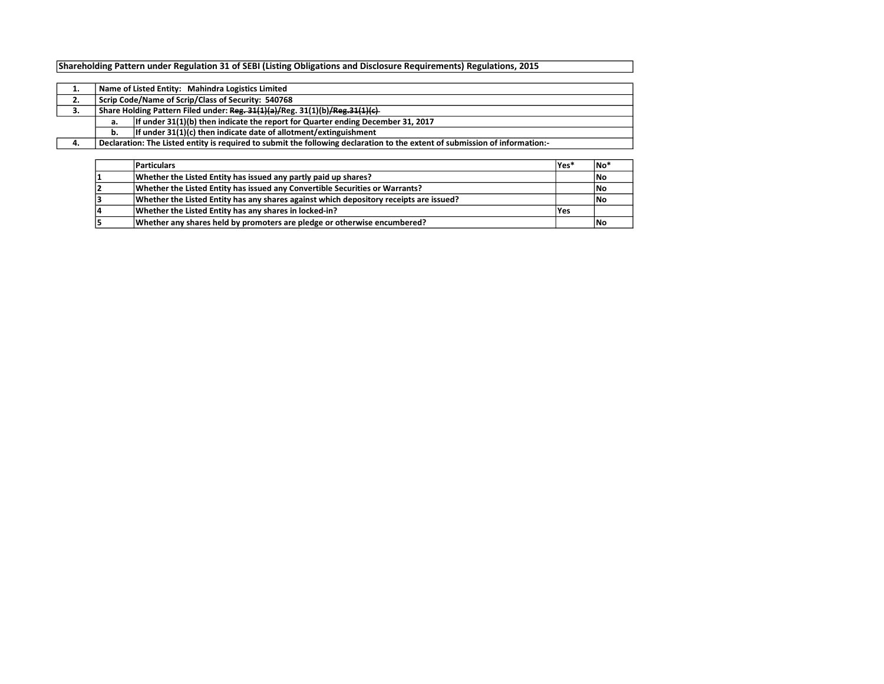## Shareholding Pattern under Regulation 31 of SEBI (Listing Obligations and Disclosure Requirements) Regulations, 2015

| ∸. | Name of Listed Entity: Mahindra Logistics Limited  |                                                                                                                             |  |  |  |  |  |  |  |  |  |
|----|----------------------------------------------------|-----------------------------------------------------------------------------------------------------------------------------|--|--|--|--|--|--|--|--|--|
| 2. | Scrip Code/Name of Scrip/Class of Security: 540768 |                                                                                                                             |  |  |  |  |  |  |  |  |  |
| з. |                                                    | Share Holding Pattern Filed under: Reg. 31(1)(a)/Reg. 31(1)(b)/Reg. 31(1)(c)                                                |  |  |  |  |  |  |  |  |  |
|    | а.                                                 | If under $31(1)(b)$ then indicate the report for Quarter ending December 31, 2017                                           |  |  |  |  |  |  |  |  |  |
|    | b.                                                 | If under $31(1)(c)$ then indicate date of allotment/extinguishment                                                          |  |  |  |  |  |  |  |  |  |
| 4. |                                                    | Declaration: The Listed entity is required to submit the following declaration to the extent of submission of information:- |  |  |  |  |  |  |  |  |  |
|    |                                                    |                                                                                                                             |  |  |  |  |  |  |  |  |  |

| <b>Particulars</b>                                                                     | lYes* | †No  |
|----------------------------------------------------------------------------------------|-------|------|
| Whether the Listed Entity has issued any partly paid up shares?                        |       | No   |
| Whether the Listed Entity has issued any Convertible Securities or Warrants?           |       | lNo  |
| Whether the Listed Entity has any shares against which depository receipts are issued? |       | l No |
| Whether the Listed Entity has any shares in locked-in?                                 | lYes  |      |
| Whether any shares held by promoters are pledge or otherwise encumbered?               |       | l No |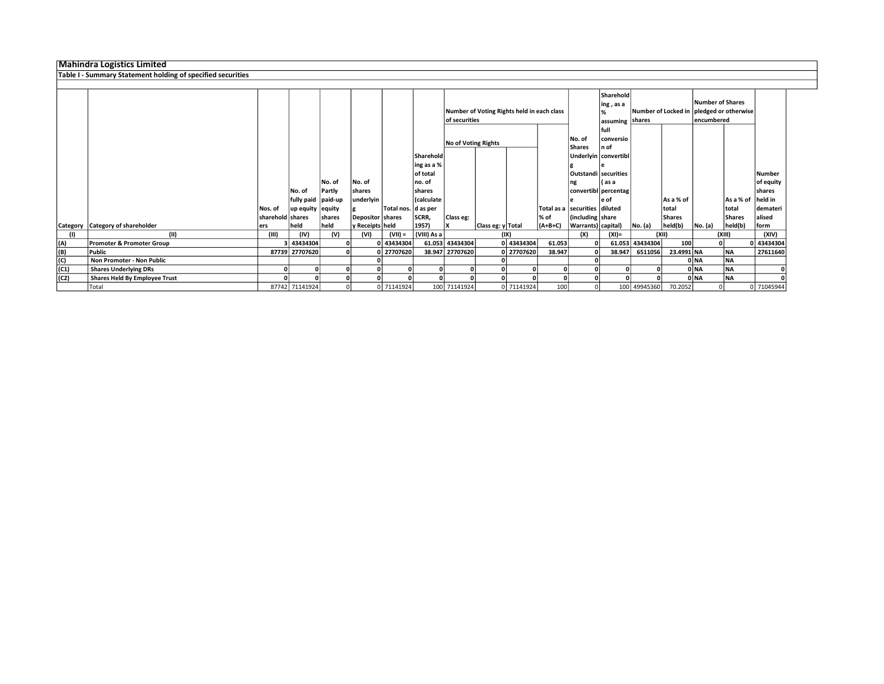## Mahindra Logistics Limited

## Table I - Summary Statement holding of specified securities

|      |                                      |                  |                    |                |                           |                      |                        | Number of Voting Rights held in each class<br>of securities |                   |            | No. of                                 | Sharehold<br>ing, as a<br>assuming shares<br>full<br>conversio |                      |                 | Number of Shares<br>lencumbered | Number of Locked in pledged or otherwise |                          |                |
|------|--------------------------------------|------------------|--------------------|----------------|---------------------------|----------------------|------------------------|-------------------------------------------------------------|-------------------|------------|----------------------------------------|----------------------------------------------------------------|----------------------|-----------------|---------------------------------|------------------------------------------|--------------------------|----------------|
|      |                                      |                  |                    |                |                           |                      |                        | <b>No of Voting Rights</b>                                  |                   |            | <b>Shares</b>                          | ln of                                                          |                      |                 |                                 |                                          |                          |                |
|      |                                      |                  |                    |                |                           |                      | Sharehold              |                                                             |                   |            |                                        |                                                                | Underlyin convertibl |                 |                                 |                                          |                          |                |
|      |                                      |                  |                    |                |                           |                      | ing as a %<br>of total |                                                             |                   |            |                                        |                                                                | Outstandi securities |                 |                                 |                                          |                          | <b>Number</b>  |
|      |                                      |                  |                    | No. of         | No. of                    |                      | no. of                 |                                                             |                   |            |                                        |                                                                | l as a               |                 |                                 |                                          |                          | of equity      |
|      |                                      |                  | No. of             | Partly         | shares                    |                      | shares                 |                                                             |                   |            |                                        |                                                                | convertibl percentag |                 |                                 |                                          |                          | shares         |
|      |                                      |                  | fully paid paid-up |                | underlyin                 |                      | (calculate             |                                                             |                   |            |                                        |                                                                | le of                |                 | As a % of                       |                                          | As a % of                | held in        |
|      |                                      | Nos. of          | up equity equity   |                |                           | Total nos.  d as per |                        |                                                             |                   |            | Total as a securities diluted<br>l% of |                                                                |                      |                 | total                           |                                          | total                    | demateri       |
|      | Category Category of shareholder     | sharehold shares | held               | shares<br>held | Depositor shares          |                      | SCRR,<br>1957)         | Class eg:                                                   | Class eg: y Total |            | $(A+B+C)$                              | (including share                                               |                      |                 | <b>Shares</b><br>held(b)        | No. (a)                                  | <b>Shares</b><br>held(b) | alised<br>form |
|      | (11)                                 | lers<br>(III)    | (IV)               | (V)            | y Receipts   held<br>(VI) | $(VII) =$            | (VIII) As a            |                                                             |                   | (IX)       |                                        | Warrants) capital)<br>(X)                                      | $(XI) =$             | No. (a)         | (XII)                           |                                          | (XIII)                   | (XIV)          |
| (A)  | Promoter & Promoter Group            |                  | 3 43434304         |                |                           | 0 43434304           |                        | 61.053 43434304                                             |                   | 0 43434304 | 61.053                                 |                                                                |                      | 61.053 43434304 | 100                             |                                          | 0                        | 0 43434304     |
|      | Public                               |                  | 87739 27707620     |                |                           | 0 27707620           |                        | 38.947 27707620                                             |                   | 0 27707620 | 38.947                                 | 0                                                              | 38.947               | 6511056         | 23.4991 NA                      |                                          | <b>NA</b>                | 27611640       |
| (B)  |                                      |                  |                    |                |                           |                      |                        |                                                             |                   |            |                                        |                                                                |                      |                 |                                 |                                          |                          |                |
| (C)  | Non Promoter - Non Public            |                  |                    |                |                           |                      |                        |                                                             |                   |            |                                        |                                                                |                      |                 |                                 | 0 NA                                     | <b>NA</b>                |                |
| (C1) | <b>Shares Underlying DRs</b>         |                  |                    |                |                           |                      |                        |                                                             |                   |            |                                        |                                                                |                      |                 |                                 | 0 NA                                     | <b>NA</b>                |                |
| (C2) | <b>Shares Held By Employee Trust</b> |                  |                    |                |                           |                      |                        |                                                             |                   |            |                                        |                                                                |                      |                 |                                 | 0 NA                                     | <b>NA</b>                |                |
|      | Total                                |                  | 87742 71141924     |                |                           | 0 71141924           |                        | 100 71141924                                                |                   | 0 71141924 | 100                                    | 0l                                                             |                      | 100 49945360    | 70.2052                         |                                          |                          | 0 71045944     |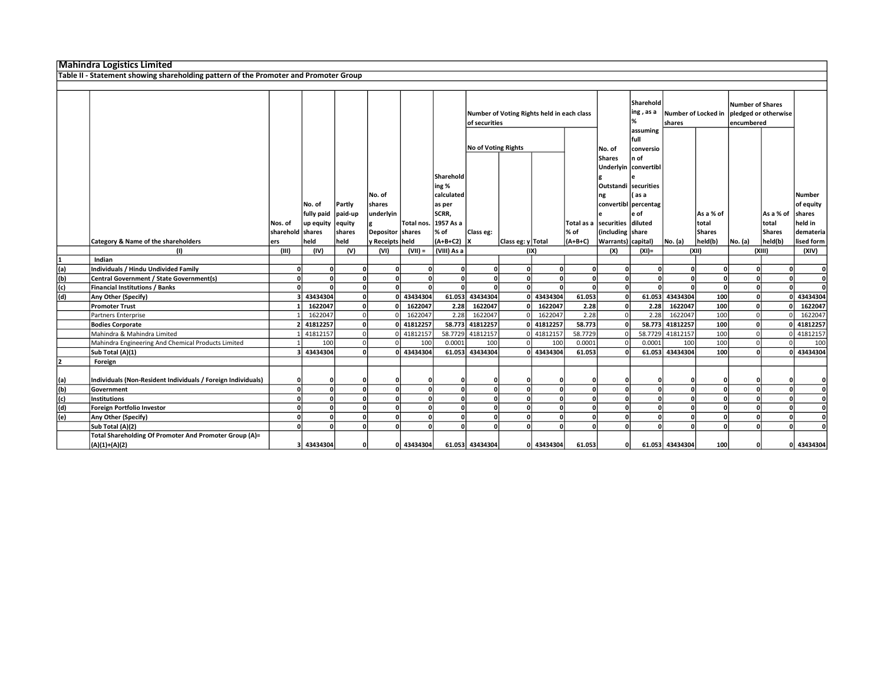## Mahindra Logistics Limited

Table II - Statement showing shareholding pattern of the Promoter and Promoter Group

|     | Category & Name of the shareholders                                       | Nos. of<br>sharehold shares<br>ers | No. of<br>fully paid paid-up<br>up equity equity<br>held | Partly<br>shares<br>held | No. of<br>shares<br>underlyin<br>Depositor shares<br>y Receipts   held | Total nos.   | Sharehold<br>ing %<br>calculated<br>as per<br>SCRR,<br>1957 As a<br>% of<br>$(A+B+C2)$ X | Number of Voting Rights held in each class<br>of securities<br>No of Voting Rights<br>Total as a securities<br>% of<br>Class eg: |                           | No. of<br><b>Shares</b><br>Outstandi securities<br>ng<br>including share<br>Warrants) capital) | Sharehold<br>ing , as a<br>%<br>shares<br>assuming<br>full<br>conversio<br>n of<br>Underlyin convertibl<br>l as a<br>convertibl percentag<br>e of<br>diluted<br>Itotal<br>Shares |                | As a % of<br>held(b) | <b>Number of Shares</b><br>Number of Locked in   pledged or otherwise<br>encumbered<br>lAs a % of<br>total<br><b>Shares</b> |          | <b>Number</b><br>of equity<br>shares<br>held in<br>demateria<br>lised form |          |              |
|-----|---------------------------------------------------------------------------|------------------------------------|----------------------------------------------------------|--------------------------|------------------------------------------------------------------------|--------------|------------------------------------------------------------------------------------------|----------------------------------------------------------------------------------------------------------------------------------|---------------------------|------------------------------------------------------------------------------------------------|----------------------------------------------------------------------------------------------------------------------------------------------------------------------------------|----------------|----------------------|-----------------------------------------------------------------------------------------------------------------------------|----------|----------------------------------------------------------------------------|----------|--------------|
|     |                                                                           | (III)                              | (IV)                                                     | (V)                      | (VI)                                                                   |              | (VIII) As a                                                                              |                                                                                                                                  | Class eg: y Total<br>(IX) |                                                                                                | $(A+B+C)$                                                                                                                                                                        |                | $(XI) =$             | No. (a)                                                                                                                     | (X  )    | No. (a)<br>(XIII)                                                          | held(b)  | (XIV)        |
|     | (1)                                                                       |                                    |                                                          |                          |                                                                        | $(VII) =$    |                                                                                          |                                                                                                                                  |                           |                                                                                                |                                                                                                                                                                                  | (X)            |                      |                                                                                                                             |          |                                                                            |          |              |
|     | Indian                                                                    |                                    |                                                          |                          |                                                                        |              |                                                                                          | $\Omega$                                                                                                                         |                           |                                                                                                |                                                                                                                                                                                  | $\Omega$       |                      |                                                                                                                             |          |                                                                            |          |              |
| (a) | Individuals / Hindu Undivided Family                                      | οI                                 | 0                                                        | n                        | ΩI                                                                     | O            | $\Omega$                                                                                 | $\Omega$                                                                                                                         | <sup>0</sup>              |                                                                                                | $\Omega$                                                                                                                                                                         |                | $\Omega$             | $\Omega$                                                                                                                    | n        |                                                                            | $\Omega$ | $\mathbf{0}$ |
| (b) | Central Government / State Government(s)                                  | nl                                 | 0                                                        | $\Omega$                 | ΩI                                                                     | 0l           | $\Omega$                                                                                 |                                                                                                                                  | $\mathbf{0}$              | $\Omega$                                                                                       | $\Omega$                                                                                                                                                                         | $\Omega$       | ΩI                   | $\Omega$                                                                                                                    | $\Omega$ |                                                                            | $\Omega$ | $\mathbf{0}$ |
| (c) | Financial Institutions / Banks                                            |                                    | <sup>o</sup>                                             | $\Omega$                 | ΩI                                                                     | $\Omega$     | $\Omega$                                                                                 |                                                                                                                                  | <sup>0</sup>              |                                                                                                | $\sqrt{2}$                                                                                                                                                                       | $\Omega$       | $\Omega$             | $\Omega$                                                                                                                    | $\Omega$ |                                                                            | $\Omega$ | $\mathbf{0}$ |
| (d) | Any Other (Specify)                                                       |                                    | 43434304                                                 | $\Omega$                 |                                                                        | 43434304     | 61.053                                                                                   | 43434304                                                                                                                         |                           | 0 43434304                                                                                     | 61.053                                                                                                                                                                           | $\Omega$       | 61.053               | 43434304                                                                                                                    | 100      |                                                                            |          | 43434304     |
|     | <b>Promoter Trust</b>                                                     |                                    | 1622047                                                  | 0                        |                                                                        | 1622047      | 2.28                                                                                     | 1622047                                                                                                                          | $\Omega$                  | 1622047                                                                                        | 2.28                                                                                                                                                                             | $\Omega$       | 2.28                 | 1622047                                                                                                                     | 100      |                                                                            |          | 1622047      |
|     | Partners Enterprise                                                       |                                    | 1622047                                                  | $\Omega$                 |                                                                        | 1622047      | 2.28                                                                                     | 1622047                                                                                                                          | $\Omega$                  | 1622047                                                                                        | 2.28                                                                                                                                                                             | $\overline{0}$ | 2.28                 | 1622047                                                                                                                     | 100      |                                                                            |          | 1622047      |
|     | <b>Bodies Corporate</b>                                                   |                                    | 41812257                                                 | $\mathbf{0}$             |                                                                        | 41812257     | 58.773                                                                                   | 41812257                                                                                                                         |                           | 0 41812257                                                                                     | 58.773                                                                                                                                                                           | $\Omega$       | 58.773               | 41812257                                                                                                                    | 100      | $\mathbf{a}$                                                               | $\Omega$ | 41812257     |
|     | Mahindra & Mahindra Limited                                               |                                    | 41812157                                                 | $\Omega$                 |                                                                        | 0 41812157   |                                                                                          | 58.7729 41812157                                                                                                                 |                           | 0 41812157                                                                                     | 58.7729                                                                                                                                                                          |                |                      | 58.7729 41812157                                                                                                            | 100      |                                                                            |          | 0 41812157   |
|     | Mahindra Engineering And Chemical Products Limited                        |                                    | 100                                                      | $\Omega$                 |                                                                        | 100          | 0.0001                                                                                   | 100                                                                                                                              | $\Omega$                  | 100                                                                                            | 0.0001                                                                                                                                                                           |                | 0.0001               | 100                                                                                                                         | 100      |                                                                            |          | 100          |
|     | Sub Total (A)(1)                                                          |                                    | 43434304                                                 | $\mathbf{a}$             |                                                                        | 0 43434304   |                                                                                          | 61.053 43434304                                                                                                                  |                           | 0 43434304                                                                                     | 61.053                                                                                                                                                                           |                |                      | 61.053 43434304                                                                                                             | 100      |                                                                            |          | 0 43434304   |
|     | Foreign                                                                   |                                    |                                                          |                          |                                                                        |              |                                                                                          |                                                                                                                                  |                           |                                                                                                |                                                                                                                                                                                  |                |                      |                                                                                                                             |          |                                                                            |          |              |
| (a) | Individuals (Non-Resident Individuals / Foreign Individuals)              |                                    | 0                                                        | O                        | n                                                                      |              |                                                                                          | ŋ                                                                                                                                | $\Omega$                  |                                                                                                |                                                                                                                                                                                  | O              |                      | 0                                                                                                                           |          |                                                                            | n        | $\Omega$     |
| (b) | Government                                                                | nl                                 | ol                                                       | $\Omega$                 | nl                                                                     | 0            | $\Omega$                                                                                 | $\Omega$                                                                                                                         | $\Omega$                  |                                                                                                | $\Omega$                                                                                                                                                                         | $\Omega$       | nl                   | $\Omega$                                                                                                                    | $\Omega$ |                                                                            | $\Omega$ | $\mathbf{0}$ |
| (c) | <b>Institutions</b>                                                       |                                    | 0                                                        | $\Omega$                 | ΩI                                                                     | 0            | $\Omega$                                                                                 | $\Omega$                                                                                                                         | $\Omega$                  |                                                                                                | $\Omega$                                                                                                                                                                         | n              | nl                   | $\Omega$                                                                                                                    | n        |                                                                            |          | ol           |
| (d) | Foreign Portfolio Investor                                                |                                    | 0                                                        |                          |                                                                        | $\mathbf{0}$ | $\Omega$                                                                                 | $\Omega$                                                                                                                         | $\Omega$                  |                                                                                                | 0                                                                                                                                                                                |                | 0l                   | 0                                                                                                                           | n        |                                                                            |          | $\mathbf{0}$ |
| (e) | Any Other (Specify)                                                       |                                    | $\Omega$                                                 | $\Omega$                 | $\Omega$                                                               | $\Omega$     | $\Omega$                                                                                 | $\Omega$                                                                                                                         | $\Omega$                  |                                                                                                | $\Omega$                                                                                                                                                                         | $\Omega$       | nl                   | $\Omega$                                                                                                                    | O        |                                                                            |          | $\mathbf{0}$ |
|     | Sub Total (A)(2)                                                          |                                    | $\Omega$                                                 | n                        |                                                                        | $\Omega$     |                                                                                          |                                                                                                                                  | $\Omega$                  |                                                                                                | $\Omega$                                                                                                                                                                         |                |                      | O                                                                                                                           |          |                                                                            |          |              |
|     | Total Shareholding Of Promoter And Promoter Group (A)=<br>$(A)(1)+(A)(2)$ |                                    | 3 43434304                                               | 0                        |                                                                        | 0 43434304   |                                                                                          | 61.053 43434304                                                                                                                  |                           | 0 43434304                                                                                     | 61.053                                                                                                                                                                           | $\mathbf{0}$   |                      | 61.053 43434304                                                                                                             | 100      |                                                                            |          | 0 43434304   |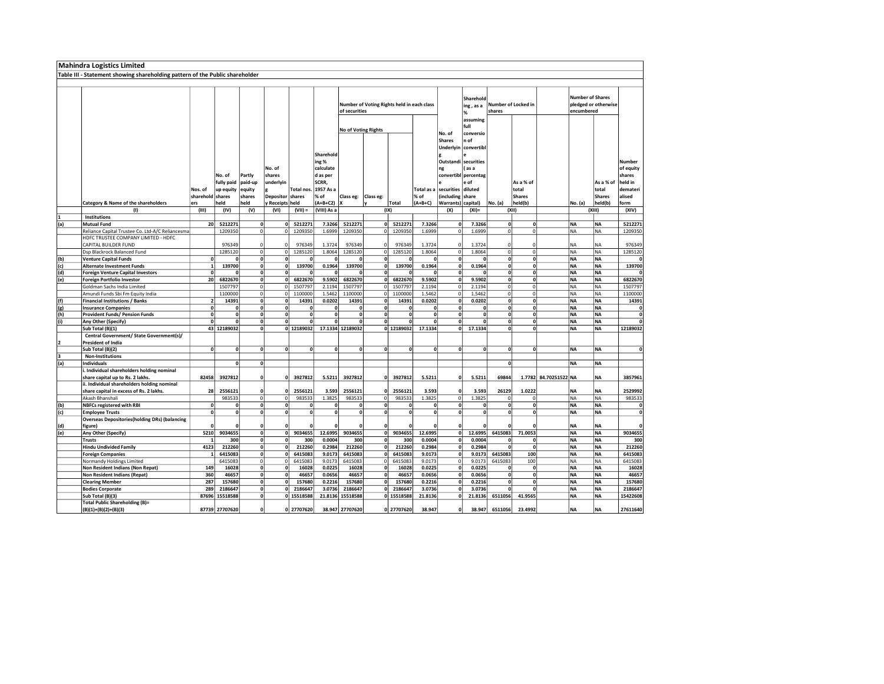|     | <b>Mahindra Logistics Limited</b>                                            |                      |                           |                                |                       |                       |                           |                                            |               |                                     |                    |                                |                      |                     |                     |                       |                         |                        |                     |
|-----|------------------------------------------------------------------------------|----------------------|---------------------------|--------------------------------|-----------------------|-----------------------|---------------------------|--------------------------------------------|---------------|-------------------------------------|--------------------|--------------------------------|----------------------|---------------------|---------------------|-----------------------|-------------------------|------------------------|---------------------|
|     | Table III - Statement showing shareholding pattern of the Public shareholder |                      |                           |                                |                       |                       |                           |                                            |               |                                     |                    |                                |                      |                     |                     |                       |                         |                        |                     |
|     |                                                                              |                      |                           |                                |                       |                       |                           |                                            |               |                                     |                    |                                |                      |                     |                     |                       |                         |                        |                     |
|     |                                                                              |                      |                           |                                |                       |                       |                           |                                            |               |                                     |                    |                                |                      |                     |                     |                       |                         |                        |                     |
|     |                                                                              |                      |                           |                                |                       |                       |                           |                                            |               |                                     |                    |                                | Sharehold            |                     |                     |                       | <b>Number of Shares</b> |                        |                     |
|     |                                                                              |                      |                           |                                |                       |                       |                           | Number of Voting Rights held in each class |               |                                     |                    |                                |                      |                     | Number of Locked in |                       |                         | pledged or otherwise   |                     |
|     |                                                                              |                      |                           |                                |                       |                       |                           |                                            | of securities |                                     |                    |                                | ing, as a            | shares              |                     |                       |                         | encumbered             |                     |
|     |                                                                              |                      |                           |                                |                       |                       |                           |                                            |               |                                     |                    |                                | %<br>assuming        |                     |                     |                       |                         |                        |                     |
|     |                                                                              |                      |                           |                                |                       |                       |                           |                                            |               |                                     |                    |                                | full                 |                     |                     |                       |                         |                        |                     |
|     |                                                                              |                      |                           |                                |                       |                       |                           | No of Voting Rights                        |               |                                     |                    |                                |                      |                     |                     |                       |                         |                        |                     |
|     |                                                                              |                      |                           |                                |                       |                       |                           |                                            |               |                                     |                    | No. of<br><b>Shares</b>        | conversio            |                     |                     |                       |                         |                        |                     |
|     |                                                                              |                      |                           |                                |                       |                       |                           |                                            |               |                                     |                    |                                | n of                 |                     |                     |                       |                         |                        |                     |
|     |                                                                              |                      |                           |                                |                       |                       |                           |                                            |               |                                     |                    | Underlyin                      | convertibl           |                     |                     |                       |                         |                        |                     |
|     |                                                                              |                      |                           |                                |                       |                       | Sharehold                 |                                            |               |                                     |                    |                                |                      |                     |                     |                       |                         |                        |                     |
|     |                                                                              |                      |                           |                                |                       |                       | ing %                     |                                            |               |                                     |                    |                                | Outstandi securities |                     |                     |                       |                         |                        | Number              |
|     |                                                                              |                      |                           |                                | No. of                |                       | calculate                 |                                            |               |                                     |                    | ng                             | (as a                |                     |                     |                       |                         |                        | of equity<br>shares |
|     |                                                                              |                      | No. of                    | Partly                         | shares                |                       | d as per                  |                                            |               |                                     |                    |                                | convertibl percentag |                     |                     |                       |                         |                        |                     |
|     |                                                                              |                      | fully paid                | paid-up                        | underlyin             |                       | SCRR,                     |                                            |               |                                     |                    |                                | e of                 |                     | As a % of           |                       |                         | As a % of              | held in             |
|     |                                                                              | Nos. of<br>sharehold | up equity<br>shares       | equity                         | g<br>Depositor shares | <b>Total nos</b>      | 1957 As a<br>% of         |                                            |               |                                     | Total as a<br>% of | securities<br>(including share | diluted              |                     | total<br>Shares     |                       |                         | total<br><b>Shares</b> | demateri<br>alised  |
|     |                                                                              |                      |                           | shares                         |                       |                       |                           | Class eg:                                  | Class eg:     |                                     |                    |                                |                      |                     |                     |                       |                         |                        |                     |
|     | Category & Name of the shareholders                                          | ers<br>(III)         | held<br>(IV)              | held<br>(V)                    | Receipts<br>(VI)      | held<br>$(VII) =$     | $(A+B+C2)$<br>(VIII) As a |                                            |               | Total<br>(IX)                       | $(A+B+C)$          | Warrants) capital)<br>(X)      |                      | No. (a)             | held(b)<br>(XII)    |                       | No. (a)                 | held(b)<br>(XIII)      | form<br>(XIV)       |
| 1   | (1)<br>Institutions                                                          |                      |                           |                                |                       |                       |                           |                                            |               |                                     |                    |                                | $(XI) =$             |                     |                     |                       |                         |                        |                     |
| (a) | <b>Mutual Fund</b>                                                           | 20                   | 5212271                   | $\pmb{\mathsf{o}}$             | $\mathbf{0}$          | 5212271               | 7.3266                    | 5212271                                    |               | 0 5212271                           | 7.3266             | $\mathbf{0}$                   | 7.3266               | 0                   |                     |                       | <b>NA</b>               | <b>NA</b>              | 5212271             |
|     | Reliance Capital Trustee Co. Ltd-A/C Reliancesma                             |                      | 1209350                   | 0                              | $\overline{0}$        | 1209350               | 1.6999                    | 1209350                                    |               | $\circ$<br>1209350                  | 1.6999             | n                              | 1.6999               | $\circ$             | $\overline{0}$      |                       | <b>NA</b>               | <b>NA</b>              | 1209350             |
|     | HDFC TRUSTEE COMPANY LIMITED - HDFC                                          |                      |                           |                                |                       |                       |                           |                                            |               |                                     |                    |                                |                      |                     |                     |                       |                         |                        |                     |
|     | CAPITAL BUILDER FUND                                                         |                      | 976349                    | 0                              | $\Omega$              | 976349                | 1.3724                    | 976349                                     | $\Omega$      | 976349                              | 1.3724             | $\circ$                        | 1.3724               | $\Omega$            | $\Omega$            |                       | <b>NA</b>               | NA                     | 976349              |
|     | Dsp Blackrock Balanced Fund                                                  |                      | 1285120                   | 0                              | $\Omega$              | 1285120               | 1.8064                    | 1285120                                    | 0             | 1285120                             | 1.8064             | 0                              | 1.8064               | $\Omega$            | $\circ$             |                       | <b>NA</b>               | <b>NA</b>              | 1285120             |
| (b) | <b>Venture Capital Funds</b>                                                 | $\Omega$             | 0                         | 0                              | $\mathbf{0}$          | $\mathbf{0}$          | $\Omega$                  | $\mathbf{0}$                               |               | 0                                   | $\Omega$           | 0                              | $\mathbf{0}$         | 0                   | $\mathbf{0}$        |                       | <b>NA</b>               | <b>NA</b>              | $\Omega$            |
| (c) | <b>Alternate Investment Funds</b>                                            | $\mathbf{1}$         | 139700                    | 0                              | $\mathbf{0}$          | 139700                | 0.1964                    | 139700                                     |               | $\overline{0}$<br>139700            | 0.1964             | 0                              | 0.1964               | 0                   | $\mathbf{0}$        |                       | <b>NA</b>               | <b>NA</b>              | 139700              |
| (d) | <b>Foreign Venture Capital Investors</b>                                     |                      | O                         | 0                              | $\Omega$              | n                     |                           | $\mathbf{0}$                               |               | 0                                   | $\mathbf{0}$       | $\mathbf{0}$                   | $\mathbf{0}$         | 0                   | $\mathbf{0}$        |                       | <b>NA</b>               | <b>NA</b>              | $\mathbf{0}$        |
| (e) | Foreign Portfolio Investor                                                   | 20 <sup>1</sup>      | 6822670                   | 0                              | $\mathbf{0}$          | 6822670               | 9.5902                    | 6822670                                    |               | $\mathbf{0}$<br>6822670             | 9.5902             | 0                              | 9.5902               | 0                   | $\Omega$            |                       | <b>NA</b>               | <b>NA</b>              | 6822670             |
|     | Goldman Sachs India Limited                                                  |                      | 1507797                   | $\circ$                        | $\circ$               | 1507797               | 2.1194                    | 1507797                                    | 0             | 1507797                             | 2.1194             | $\mathfrak{o}$                 | 2.1194               | $\circ$             | $\overline{0}$      |                       | <b>NA</b>               | <b>NA</b>              | 1507797             |
|     | Amundi Funds Sbi Fm Equity India                                             |                      | 1100000                   | 0                              | $\circ$               | 1100000               | 1.5462                    | 1100000                                    |               | 0 <br>1100000                       | 1.5462             | $\mathfrak{o}$                 | 1.5462               | 0                   | $\circ$             |                       | <b>NA</b>               | NA                     | 1100000             |
| (f) | <b>Financial Institutions / Banks</b>                                        | $\overline{2}$       | 14391                     | $\overline{\mathbf{0}}$        | $\mathbf{0}$          | 14391                 | 0.0202                    | 14391                                      |               | $\mathbf{0}$<br>14391               | 0.0202             | 0                              | 0.0202               | 0                   | $\mathbf{0}$        |                       | <b>NA</b>               | <b>NA</b>              | 14391               |
| (g) | <b>Insurance Companies</b>                                                   | 0                    | ol                        | $\mathbf{0}$                   | $\Omega$              | ol                    | $\mathbf{0}$              | $\mathbf{0}$                               |               | $\mathbf{0}$<br>$\mathbf{0}$        | $\mathbf{0}$       | 0                              | $\mathbf{0}$         | $\Omega$            | ol                  |                       | <b>NA</b>               | <b>NA</b>              | 0                   |
| (h) | Provident Funds/ Pension Funds                                               | $\Omega$             | 0                         | 0                              | 0                     | 0                     | $\mathbf 0$               | 0                                          |               | 0 <br>$\mathbf{0}$                  | $\mathbf{0}$       | 0                              | $\mathbf{0}$         | $\Omega$            | 0                   |                       | <b>NA</b>               | <b>NA</b>              | 0                   |
| (i) | Any Other (Specify)                                                          | n                    | $\overline{\mathbf{0}}$   | $\overline{0}$                 | $\Omega$              | $\overline{a}$        | $\overline{ }$            | $\overline{\mathbf{0}}$                    |               | $\overline{\mathbf{0}}$<br>$\Omega$ | $\overline{0}$     | $\overline{a}$                 | $\overline{0}$       | 0                   | $\overline{0}$      |                       | <b>NA</b>               | <b>NA</b>              | $\Omega$            |
|     | Sub Total (B)(1)                                                             |                      | 43 12189032               | ol                             |                       | 0 12189032            |                           | 17.1334 12189032                           |               | 0 12189032                          | 17.1334            |                                | 17.1334<br>0         | $\Omega$            | 0                   |                       | <b>NA</b>               | <b>NA</b>              | 12189032            |
|     | Central Government/ State Government(s)/                                     |                      |                           |                                |                       |                       |                           |                                            |               |                                     |                    |                                |                      |                     |                     |                       |                         |                        |                     |
| 2   | <b>President of India</b>                                                    |                      |                           |                                |                       |                       |                           |                                            |               |                                     |                    |                                |                      |                     |                     |                       |                         |                        |                     |
|     | Sub Total (B)(2)                                                             | 0                    | 0                         | 0                              | $\mathbf{0}$          | 0                     | $\mathbf{0}$              | 0                                          |               | 0 <br>$\mathbf{0}$                  | 0                  | 0                              | $\mathbf{0}$         | 0                   | $\Omega$            |                       | <b>NA</b>               | <b>NA</b>              | 0                   |
| з   | <b>Non-Institutions</b>                                                      |                      |                           |                                |                       |                       |                           |                                            |               |                                     |                    |                                |                      |                     |                     |                       |                         |                        |                     |
| (a) | <b>Individuals</b>                                                           |                      | $\mathbf{0}$              | $\overline{0}$                 |                       |                       |                           |                                            |               |                                     |                    |                                |                      | 0                   |                     |                       | <b>NA</b>               | <b>NA</b>              |                     |
|     | i. Individual shareholders holding nominal                                   |                      |                           |                                |                       |                       |                           |                                            |               |                                     |                    |                                |                      |                     |                     |                       |                         |                        |                     |
|     | share capital up to Rs. 2 lakhs.                                             | 82458                | 3927812                   | 0                              | $\Omega$              | 3927812               | 5.5211                    | 3927812                                    |               | 3927812<br>o١                       | 5.5211             | $\Omega$                       | 5.5211               | 69844               |                     | 1.7782 84.70251522 NA |                         | <b>NA</b>              | 3857961             |
|     | ii. Individual shareholders holding nominal                                  |                      |                           |                                |                       |                       |                           |                                            |               |                                     |                    |                                |                      |                     |                     |                       |                         |                        |                     |
|     | share capital in excess of Rs. 2 lakhs.                                      | 28                   | 2556121                   | 0                              | $\Omega$              | 2556121               | 3.593                     | 2556121                                    |               | 2556121<br>0                        | 3.593              | 0                              | 3.593                | 26129               | 1.0222              |                       | <b>NA</b>               | <b>NA</b>              | 2529992             |
|     | Akash Bhanshali                                                              |                      | 983533                    | $\overline{0}$                 | $\circ$               | 983533                | 1.3825                    | 983533                                     | 0             | 983533                              | 1.3825             | 0                              | 1.3825               | $\overline{0}$      | $\Omega$            |                       | <b>NA</b>               | <b>NA</b>              | 983533              |
| (b) | <b>NBFCs registered with RBI</b>                                             | $\mathbf{0}$         | 0                         | 0                              | $\mathbf{0}$          | 0                     | $\Omega$                  | $\mathbf{0}$                               |               | 0 <br>$\mathbf{0}$                  | $\mathbf{0}$       | 0                              | $\mathbf{0}$         | $\Omega$            | $\Omega$            |                       | <b>NA</b>               | <b>NA</b>              | 0                   |
| (c) | <b>Employee Trusts</b>                                                       | 0                    | 0                         | 0                              | $\mathbf{0}$          | 0                     | $\mathbf{0}$              | $\mathbf{0}$                               |               | 0<br>$\mathbf{0}$                   | $\mathbf{0}$       | 0                              | $\mathbf{0}$         | 0                   | $\mathbf{0}$        |                       | <b>NA</b>               | <b>NA</b>              | 0                   |
|     | <b>Overseas Depositories(holding DRs) (balancing</b>                         |                      |                           |                                |                       |                       |                           |                                            |               |                                     |                    |                                |                      |                     |                     |                       |                         |                        |                     |
| (d) | figure)                                                                      |                      | O                         | 0                              | $\Omega$              |                       | $\Omega$                  |                                            | 0             |                                     | O                  | $\Omega$                       | $\mathbf 0$          | O                   |                     |                       | <b>NA</b>               | <b>NA</b>              | $\Omega$            |
| (e) | Any Other (Specify)                                                          | 5210                 | 9034655                   | 0                              | $\mathbf{0}$          | 9034655               | 12.6995                   | 9034655                                    |               | $\mathbf{0}$<br>9034655             | 12.6995            | 0                              | 12.6995              | 6415083             | 71.0053             |                       | <b>NA</b>               | <b>NA</b>              | 9034655             |
|     | <b>Trusts</b>                                                                | $\mathbf{1}$         | 300                       | ol                             | 0                     | 300                   | 0.0004                    | 300                                        |               | 0<br>300                            | 0.0004             | 0                              | 0.0004               | $\mathbf{0}$        | $\Omega$            |                       | <b>NA</b>               | <b>NA</b>              | 300                 |
|     | <b>Hindu Undivided Family</b>                                                | 4123                 | 212260                    | $\overline{0}$                 | $\mathbf{0}$          | 212260                | 0.2984                    | 212260                                     |               | $\mathbf{0}$<br>212260              | 0.2984             | 0                              | 0.2984               | $\Omega$            | $\Omega$            |                       | <b>NA</b>               | <b>NA</b>              | 212260              |
|     | <b>Foreign Companies</b>                                                     | $\mathbf{1}$         | 6415083                   | $\overline{\mathbf{0}}$        | $\Omega$              | 6415083               | 9.0173                    | 6415083                                    |               | $\mathbf{0}$<br>6415083             | 9.0173             | 0                              | 9.0173               | 6415083             | 100                 |                       | <b>NA</b>               | <b>NA</b>              | 6415083             |
|     | Normandy Holdings Limited                                                    |                      | 6415083                   | $\overline{0}$                 | $\overline{0}$        | 6415083               | 9.0173                    | 6415083                                    |               | 0<br>6415083                        | 9.0173             | $\mathfrak{o}$                 | 9.0173               | 6415083             | 100                 |                       | <b>NA</b>               | <b>NA</b>              | 6415083             |
|     | Non Resident Indians (Non Repat)                                             | 149                  | 16028                     | 0                              | $\Omega$              | 16028                 | 0.0225                    | 16028                                      |               | $\mathbf{0}$<br>16028               | 0.0225             | 0                              | 0.0225               | $\Omega$            | $\Omega$            |                       | <b>NA</b>               | <b>NA</b>              | 16028               |
|     | Non Resident Indians (Repat)                                                 | 360                  | 46657                     | $\mathbf{0}$                   | $\mathbf{0}$          | 46657                 | 0.0656                    | 46657                                      |               | 0<br>46657                          | 0.0656             | ol                             | 0.0656               | 0                   | 0                   |                       | <b>NA</b>               | <b>NA</b>              | 46657               |
|     | <b>Clearing Member</b>                                                       | 287                  | 157680                    | 0                              | $\Omega$              | 157680                | 0.2216                    | 157680                                     |               | 0 <br>157680                        | 0.2216             | $\Omega$                       | 0.2216               | 0                   | $\mathbf{0}$        |                       | <b>NA</b>               | ΝA                     | 157680              |
|     | <b>Bodies Corporate</b>                                                      | 289                  | 2186647<br>87696 15518588 | $\mathbf{0}$<br>$\overline{0}$ | 0                     | 2186647<br>0 15518588 | 3.0736<br>21.8136         | 2186647<br>15518588                        |               | 0<br>2186647<br>0 15518588          | 3.0736<br>21.8136  | nl<br>$\overline{0}$           | 3.0736<br>21.8136    | $\Omega$<br>6511056 | n<br>41.9565        |                       | <b>NA</b><br><b>NA</b>  | <b>NA</b><br><b>NA</b> | 2186647<br>15422608 |
|     | Sub Total (B)(3)                                                             |                      |                           |                                |                       |                       |                           |                                            |               |                                     |                    |                                |                      |                     |                     |                       |                         |                        |                     |
|     | <b>Total Public Shareholding (B)=</b>                                        |                      |                           | 0                              |                       |                       |                           |                                            |               |                                     | 38.947             | 0                              | 38.947               |                     |                     |                       |                         |                        |                     |
|     | $(B)(1)+(B)(2)+(B)(3)$                                                       |                      | 87739 27707620            |                                |                       | 0 27707620            |                           | 38.947 27707620                            |               | 0 27707620                          |                    |                                |                      | 6511056             | 23.4992             |                       | <b>NA</b>               | <b>NA</b>              | 27611640            |